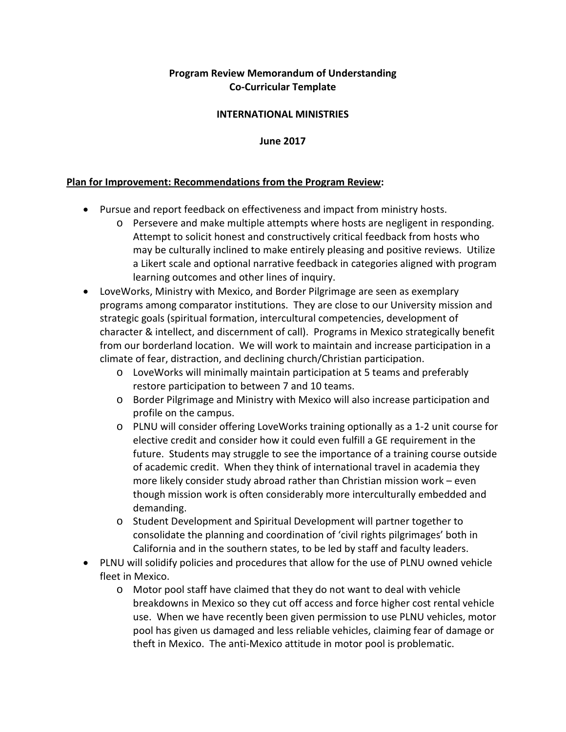# **Program Review Memorandum of Understanding Co-Curricular Template**

### **INTERNATIONAL MINISTRIES**

#### **June 2017**

### **Plan for Improvement: Recommendations from the Program Review:**

- Pursue and report feedback on effectiveness and impact from ministry hosts.
	- o Persevere and make multiple attempts where hosts are negligent in responding. Attempt to solicit honest and constructively critical feedback from hosts who may be culturally inclined to make entirely pleasing and positive reviews. Utilize a Likert scale and optional narrative feedback in categories aligned with program learning outcomes and other lines of inquiry.
- LoveWorks, Ministry with Mexico, and Border Pilgrimage are seen as exemplary programs among comparator institutions. They are close to our University mission and strategic goals (spiritual formation, intercultural competencies, development of character & intellect, and discernment of call). Programs in Mexico strategically benefit from our borderland location. We will work to maintain and increase participation in a climate of fear, distraction, and declining church/Christian participation.
	- o LoveWorks will minimally maintain participation at 5 teams and preferably restore participation to between 7 and 10 teams.
	- o Border Pilgrimage and Ministry with Mexico will also increase participation and profile on the campus.
	- o PLNU will consider offering LoveWorks training optionally as a 1-2 unit course for elective credit and consider how it could even fulfill a GE requirement in the future. Students may struggle to see the importance of a training course outside of academic credit. When they think of international travel in academia they more likely consider study abroad rather than Christian mission work – even though mission work is often considerably more interculturally embedded and demanding.
	- o Student Development and Spiritual Development will partner together to consolidate the planning and coordination of 'civil rights pilgrimages' both in California and in the southern states, to be led by staff and faculty leaders.
- PLNU will solidify policies and procedures that allow for the use of PLNU owned vehicle fleet in Mexico.
	- o Motor pool staff have claimed that they do not want to deal with vehicle breakdowns in Mexico so they cut off access and force higher cost rental vehicle use. When we have recently been given permission to use PLNU vehicles, motor pool has given us damaged and less reliable vehicles, claiming fear of damage or theft in Mexico. The anti-Mexico attitude in motor pool is problematic.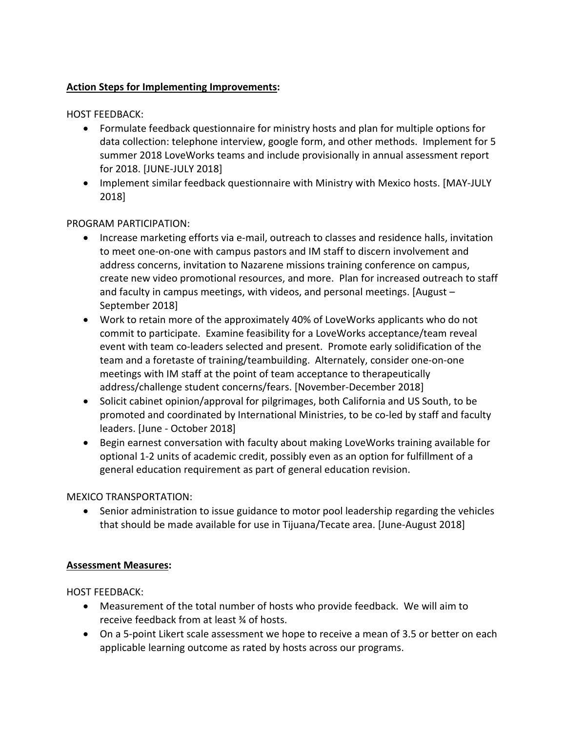## **Action Steps for Implementing Improvements:**

HOST FEEDBACK:

- Formulate feedback questionnaire for ministry hosts and plan for multiple options for data collection: telephone interview, google form, and other methods. Implement for 5 summer 2018 LoveWorks teams and include provisionally in annual assessment report for 2018. [JUNE-JULY 2018]
- Implement similar feedback questionnaire with Ministry with Mexico hosts. [MAY-JULY 2018]

## PROGRAM PARTICIPATION:

- Increase marketing efforts via e-mail, outreach to classes and residence halls, invitation to meet one-on-one with campus pastors and IM staff to discern involvement and address concerns, invitation to Nazarene missions training conference on campus, create new video promotional resources, and more. Plan for increased outreach to staff and faculty in campus meetings, with videos, and personal meetings. [August – September 2018]
- Work to retain more of the approximately 40% of LoveWorks applicants who do not commit to participate. Examine feasibility for a LoveWorks acceptance/team reveal event with team co-leaders selected and present. Promote early solidification of the team and a foretaste of training/teambuilding. Alternately, consider one-on-one meetings with IM staff at the point of team acceptance to therapeutically address/challenge student concerns/fears. [November-December 2018]
- Solicit cabinet opinion/approval for pilgrimages, both California and US South, to be promoted and coordinated by International Ministries, to be co-led by staff and faculty leaders. [June - October 2018]
- Begin earnest conversation with faculty about making LoveWorks training available for optional 1-2 units of academic credit, possibly even as an option for fulfillment of a general education requirement as part of general education revision.

### MEXICO TRANSPORTATION:

• Senior administration to issue guidance to motor pool leadership regarding the vehicles that should be made available for use in Tijuana/Tecate area. [June-August 2018]

## **Assessment Measures:**

HOST FEEDBACK:

- Measurement of the total number of hosts who provide feedback. We will aim to receive feedback from at least ¾ of hosts.
- On a 5-point Likert scale assessment we hope to receive a mean of 3.5 or better on each applicable learning outcome as rated by hosts across our programs.